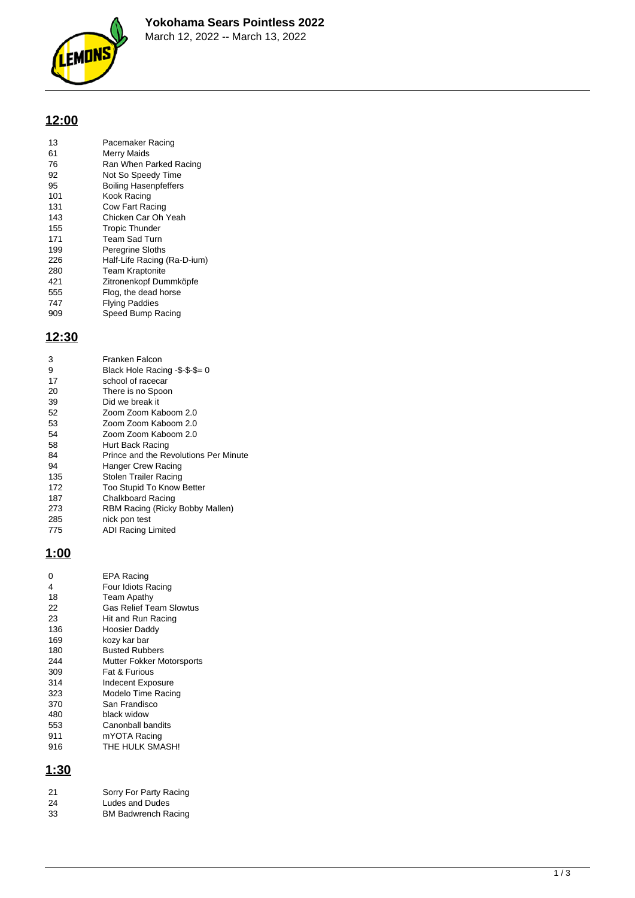

## **12:00**

| 13  | Pacemaker Racing             |
|-----|------------------------------|
| 61  | Merry Maids                  |
| 76  | Ran When Parked Racing       |
| 92  | Not So Speedy Time           |
| 95  | <b>Boiling Hasenpfeffers</b> |
| 101 | Kook Racing                  |
| 131 | Cow Fart Racing              |
| 143 | Chicken Car Oh Yeah          |
| 155 | <b>Tropic Thunder</b>        |
| 171 | Team Sad Turn                |
| 199 | Peregrine Sloths             |
| 226 | Half-Life Racing (Ra-D-ium)  |
| 280 | <b>Team Kraptonite</b>       |
| 421 | Zitronenkopf Dummköpfe       |
| 555 | Flog, the dead horse         |
| 747 | <b>Flying Paddies</b>        |
| 909 | Speed Bump Racing            |

#### **12:30**

| 3   | Franken Falcon                        |
|-----|---------------------------------------|
| 9   | Black Hole Racing -\$-\$-\$= 0        |
| 17  | school of racecar                     |
| 20  | There is no Spoon                     |
| 39  | Did we break it                       |
| 52  | Zoom Zoom Kaboom 2.0                  |
| 53  | Zoom Zoom Kaboom 2.0                  |
| 54  | Zoom Zoom Kaboom 2.0                  |
| 58  | Hurt Back Racing                      |
| 84  | Prince and the Revolutions Per Minute |
| 94  | Hanger Crew Racing                    |
| 135 | Stolen Trailer Racing                 |
| 172 | Too Stupid To Know Better             |
| 187 | Chalkboard Racing                     |
| 273 | RBM Racing (Ricky Bobby Mallen)       |
| 285 | nick pon test                         |
| 775 | ADI Racing Limited                    |

#### **1:00**

| ი   | EPA Racing                       |
|-----|----------------------------------|
| 4   | Four Idiots Racing               |
| 18  | Team Apathy                      |
| 22  | <b>Gas Relief Team Slowtus</b>   |
| 23  | Hit and Run Racing               |
| 136 | Hoosier Daddy                    |
| 169 | kozy kar bar                     |
| 180 | <b>Busted Rubbers</b>            |
| 244 | <b>Mutter Fokker Motorsports</b> |
| 309 | <b>Fat &amp; Furious</b>         |
| 314 | Indecent Exposure                |
| 323 | Modelo Time Racing               |
| 370 | San Frandisco                    |
| 480 | black widow                      |
| 553 | Canonball bandits                |
| 911 | mYOTA Racing                     |
| 916 | THE HULK SMASH!                  |

### **1:30**

| 21 | Sorry For Party Racing |
|----|------------------------|
| 24 | Ludes and Dudes        |

BM Badwrench Racing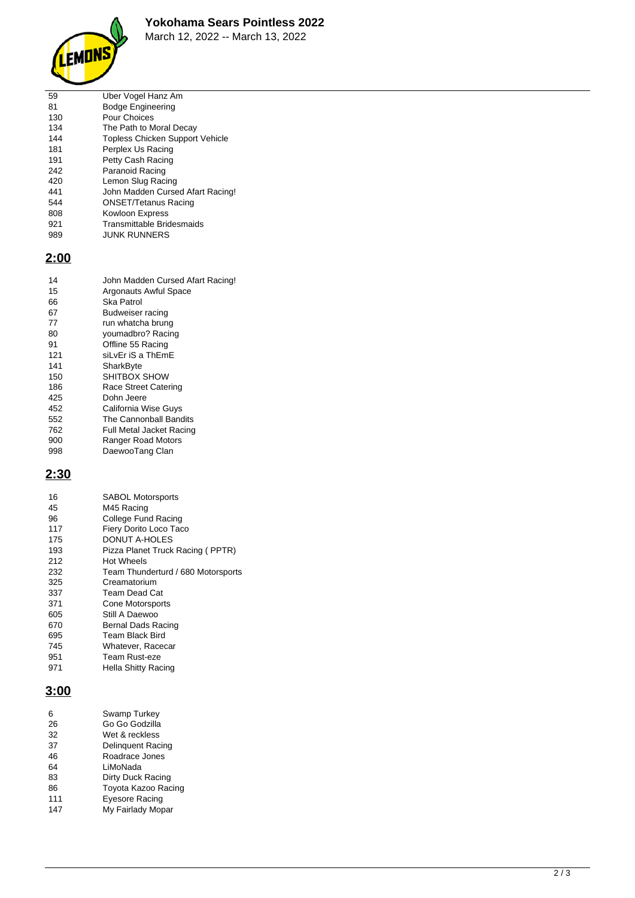



March 12, 2022 -- March 13, 2022

| 59  | Uber Vogel Hanz Am                     |
|-----|----------------------------------------|
| 81  | <b>Bodge Engineering</b>               |
| 130 | Pour Choices                           |
| 134 | The Path to Moral Decay                |
| 144 | <b>Topless Chicken Support Vehicle</b> |
| 181 | Perplex Us Racing                      |
| 191 | Petty Cash Racing                      |
| 242 | Paranoid Racing                        |
| 420 | Lemon Slug Racing                      |
| 441 | John Madden Cursed Afart Racing!       |
| 544 | <b>ONSET/Tetanus Racing</b>            |
| 808 | Kowloon Express                        |
| 921 | Transmittable Bridesmaids              |
| 989 | <b>JUNK RUNNERS</b>                    |
|     |                                        |

## **2:00**

| 14  | John Madden Cursed Afart Racing! |
|-----|----------------------------------|
| 15  | Argonauts Awful Space            |
| 66  | Ska Patrol                       |
| 67  | Budweiser racing                 |
| 77  | run whatcha brung                |
| 80  | youmadbro? Racing                |
| 91  | Offline 55 Racing                |
| 121 | siLvEr iS a ThEmE                |
| 141 | SharkByte                        |
| 150 | SHITBOX SHOW                     |
| 186 | Race Street Catering             |
| 425 | Dohn Jeere                       |
| 452 | California Wise Guys             |
| 552 | The Cannonball Bandits           |
| 762 | Full Metal Jacket Racing         |
| 900 | Ranger Road Motors               |
| 998 | DaewooTang Clan                  |

# **2:30**

| 16  | <b>SABOL Motorsports</b>           |
|-----|------------------------------------|
| 45  | M45 Racing                         |
| 96  | College Fund Racing                |
| 117 | Fiery Dorito Loco Taco             |
| 175 | DONUT A-HOLES                      |
| 193 | Pizza Planet Truck Racing (PPTR)   |
| 212 | Hot Wheels                         |
| 232 | Team Thunderturd / 680 Motorsports |
| 325 | Creamatorium                       |
| 337 | Team Dead Cat                      |
| 371 | <b>Cone Motorsports</b>            |
| 605 | Still A Daewoo                     |
| 670 | Bernal Dads Racing                 |
| 695 | <b>Team Black Bird</b>             |
| 745 | Whatever, Racecar                  |
| 951 | Team Rust-eze                      |
| 971 | <b>Hella Shitty Racing</b>         |
|     |                                    |

## **3:00**

| 6   | Swamp Turkey             |
|-----|--------------------------|
| 26  | Go Go Godzilla           |
| 32  | Wet & reckless           |
| 37  | <b>Delinguent Racing</b> |
| 46  | Roadrace Jones           |
| 64  | LiMoNada                 |
| 83  | Dirty Duck Racing        |
| 86  | Toyota Kazoo Racing      |
| 111 | Eyesore Racing           |
| 147 | My Fairlady Mopar        |